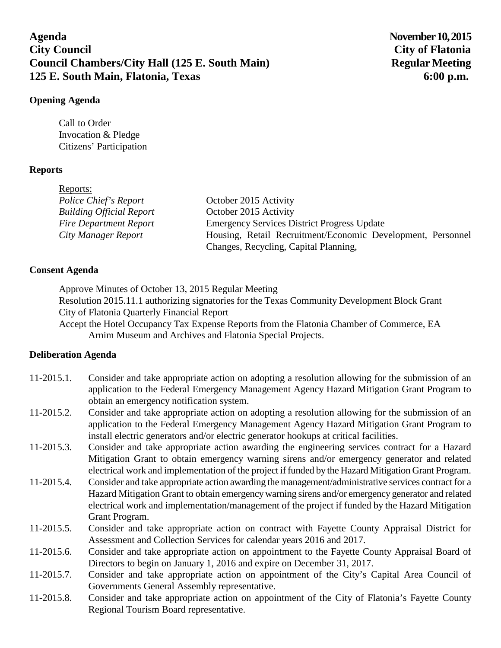# **Agenda November 10, 2015 City Council City of Flatonia Council Chambers/City Hall (125 E. South Main)** Regular Meeting **125 E. South Main, Flatonia, Texas 6:00 p.m.**

## **Opening Agenda**

Call to Order Invocation & Pledge Citizens' Participation

# **Reports**

| Reports:                        |                                                             |
|---------------------------------|-------------------------------------------------------------|
| Police Chief's Report           | October 2015 Activity                                       |
| <b>Building Official Report</b> | October 2015 Activity                                       |
| <b>Fire Department Report</b>   | <b>Emergency Services District Progress Update</b>          |
| City Manager Report             | Housing, Retail Recruitment/Economic Development, Personnel |
|                                 | Changes, Recycling, Capital Planning,                       |

## **Consent Agenda**

Approve Minutes of October 13, 2015 Regular Meeting

Resolution 2015.11.1 authorizing signatories for the Texas Community Development Block Grant City of Flatonia Quarterly Financial Report

Accept the Hotel Occupancy Tax Expense Reports from the Flatonia Chamber of Commerce, EA Arnim Museum and Archives and Flatonia Special Projects.

## **Deliberation Agenda**

| $11-2015.1.$  | Consider and take appropriate action on adopting a resolution allowing for the submission of an<br>application to the Federal Emergency Management Agency Hazard Mitigation Grant Program to |
|---------------|----------------------------------------------------------------------------------------------------------------------------------------------------------------------------------------------|
|               | obtain an emergency notification system.                                                                                                                                                     |
| 11-2015.2.    | Consider and take appropriate action on adopting a resolution allowing for the submission of an                                                                                              |
|               | application to the Federal Emergency Management Agency Hazard Mitigation Grant Program to                                                                                                    |
|               | install electric generators and/or electric generator hookups at critical facilities.                                                                                                        |
| $11-2015.3.$  | Consider and take appropriate action awarding the engineering services contract for a Hazard                                                                                                 |
|               | Mitigation Grant to obtain emergency warning sirens and/or emergency generator and related                                                                                                   |
|               | electrical work and implementation of the project if funded by the Hazard Mitigation Grant Program.                                                                                          |
| 11-2015.4.    | Consider and take appropriate action awarding the management/administrative services contract for a                                                                                          |
|               | Hazard Mitigation Grant to obtain emergency warning sirens and/or emergency generator and related                                                                                            |
|               | electrical work and implementation/management of the project if funded by the Hazard Mitigation                                                                                              |
|               | Grant Program.                                                                                                                                                                               |
| $11-2015.5$ . | Consider and take appropriate action on contract with Fayette County Appraisal District for                                                                                                  |
|               | Assessment and Collection Services for calendar years 2016 and 2017.                                                                                                                         |
| 11-2015.6.    | Consider and take appropriate action on appointment to the Fayette County Appraisal Board of                                                                                                 |
|               | Directors to begin on January 1, 2016 and expire on December 31, 2017.                                                                                                                       |
| 11-2015.7.    | Consider and take appropriate action on appointment of the City's Capital Area Council of                                                                                                    |
|               | Governments General Assembly representative.                                                                                                                                                 |
| 11-2015.8.    | Consider and take appropriate action on appointment of the City of Flatonia's Fayette County                                                                                                 |
|               | Regional Tourism Board representative.                                                                                                                                                       |